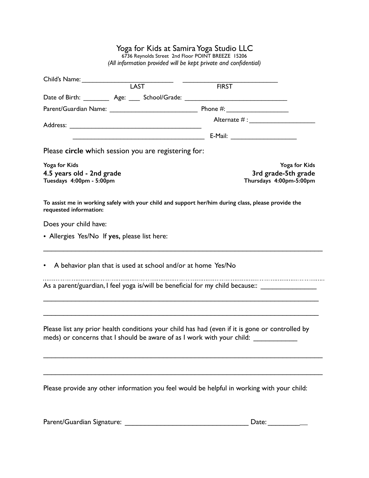## Yoga for Kids at Samira Yoga Studio LLC

6736 Reynolds Street 2nd Floor POINT BREEZE 15206 *(All information provided will be kept private and confidential)*

| Child's Name:                                         |                                                              |                                                                                                                                                                           |               |
|-------------------------------------------------------|--------------------------------------------------------------|---------------------------------------------------------------------------------------------------------------------------------------------------------------------------|---------------|
|                                                       | <b>LAST</b>                                                  | <b>FIRST</b>                                                                                                                                                              |               |
|                                                       |                                                              | Date of Birth: ___________ Age: _____ School/Grade: _____________________________                                                                                         |               |
|                                                       |                                                              |                                                                                                                                                                           |               |
|                                                       |                                                              | Alternate $#$ :                                                                                                                                                           |               |
|                                                       |                                                              |                                                                                                                                                                           |               |
|                                                       | Please circle which session you are registering for:         |                                                                                                                                                                           |               |
| Yoga for Kids                                         |                                                              |                                                                                                                                                                           | Yoga for Kids |
| 4.5 years old - 2nd grade<br>Tuesdays 4:00pm - 5:00pm |                                                              | 3rd grade-5th grade<br>Thursdays 4:00pm-5:00pm                                                                                                                            |               |
| requested information:                                |                                                              | To assist me in working safely with your child and support her/him during class, please provide the                                                                       |               |
| Does your child have:                                 |                                                              |                                                                                                                                                                           |               |
| • Allergies Yes/No If yes, please list here:          |                                                              |                                                                                                                                                                           |               |
|                                                       | A behavior plan that is used at school and/or at home Yes/No |                                                                                                                                                                           |               |
|                                                       |                                                              | As a parent/guardian, I feel yoga is/will be beneficial for my child because:: ____________________                                                                       |               |
|                                                       |                                                              |                                                                                                                                                                           |               |
|                                                       |                                                              | Please list any prior health conditions your child has had (even if it is gone or controlled by<br>meds) or concerns that I should be aware of as I work with your child: |               |
|                                                       |                                                              |                                                                                                                                                                           |               |
|                                                       |                                                              | Please provide any other information you feel would be helpful in working with your child:                                                                                |               |

Parent/Guardian Signature: \_\_\_\_\_\_\_\_\_\_\_\_\_\_\_\_\_\_\_\_\_\_\_\_\_\_\_\_\_\_\_ Date: \_\_\_\_\_\_\_\_\_\_